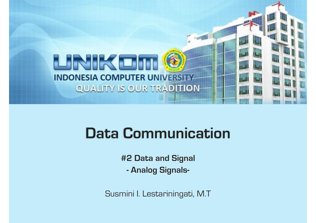

# **Data Communication**

**#2 Data and Signal** 

**- Analog Signals-**

Susmini I. Lestariningati, M.T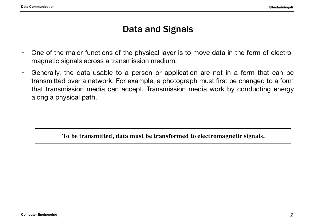# Data and Signals

- One of the major functions of the physical layer is to move data in the form of electromagnetic signals across a transmission medium.
- Generally, the data usable to a person or application are not in a form that can be transmitted over a network. For example, a photograph must first be changed to a form that transmission media can accept. Transmission media work by conducting energy  $\alpha$  along a physical path. For example, a network first be changed to a form  $\alpha$  form  $\alpha$  form  $\alpha$  form  $\alpha$  form  $\alpha$  form  $\alpha$  form  $\alpha$  form  $\alpha$  form  $\alpha$  form  $\alpha$  form  $\alpha$  form  $\alpha$  form  $\alpha$  form  $\alpha$  form  $\alpha$

**To be transmitted, data must be transformed to electromagnetic signals.**

**Analog and Digital Data**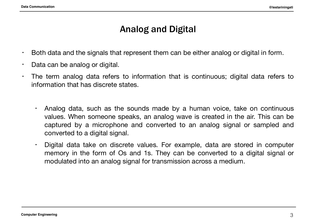# Analog and Digital

- $\cdot$  Both data and the signals that represent them can be either analog or digital in form.
- Data can be analog or digital.
- The term analog data refers to information that is continuous; digital data refers to information that has discrete states.
	- Analog data, such as the sounds made by a human voice, take on continuous values. When someone speaks, an analog wave is created in the air. This can be captured by a microphone and converted to an analog signal or sampled and converted to a digital signal.
	- Digital data take on discrete values. For example, data are stored in computer memory in the form of Os and 1s. They can be converted to a digital signal or modulated into an analog signal for transmission across a medium.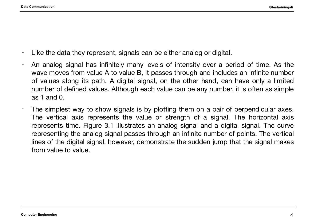- Like the data they represent, signals can be either analog or digital.
- An analog signal has infinitely many levels of intensity over a period of time. As the wave moves from value A to value B, it passes through and includes an infinite number of values along its path. A digital signal, on the other hand, can have only a limited number of defined values. Although each value can be any number, it is often as simple as 1 and  $0<sub>1</sub>$
- $\cdot$  The simplest way to show signals is by plotting them on a pair of perpendicular axes. The vertical axis represents the value or strength of a signal. The horizontal axis represents time. Figure 3.1 illustrates an analog signal and a digital signal. The curve representing the analog signal passes through an infinite number of points. The vertical lines of the digital signal, however, demonstrate the sudden jump that the signal makes from value to value.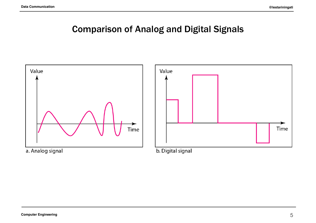# Comparison of Analog and Digital Signals

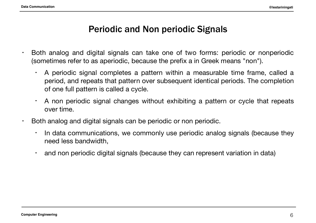## Periodic and Non periodic Signals

- Both analog and digital signals can take one of two forms: periodic or nonperiodic (sometimes refer to as aperiodic, because the prefix a in Greek means "non").
	- A periodic signal completes a pattern within a measurable time frame, called a period, and repeats that pattern over subsequent identical periods. The completion of one full pattern is called a cycle.
	- A non periodic signal changes without exhibiting a pattern or cycle that repeats over time.
- Both analog and digital signals can be periodic or non periodic.
	- In data communications, we commonly use periodic analog signals (because they need less bandwidth,
	- and non periodic digital signals (because they can represent variation in data)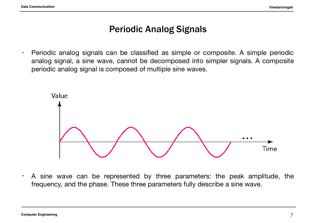## Periodic Analog Signals

• Periodic analog signals can be classified as simple or composite. A simple periodic analog signal, a sine wave, cannot be decomposed into simpler signals. A composite periodic analog signal is composed of multiple sine waves.



• A sine wave can be represented by three parameters: the peak amplitude, the frequency, and the phase. These three parameters fully describe a sine wave.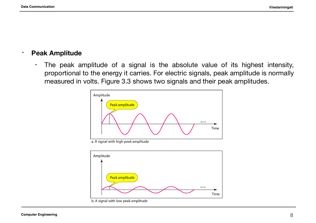#### **• Peak Amplitude**

• The peak amplitude of a signal is the absolute value of its highest intensity, proportional to the energy it carries. For electric signals, peak amplitude is normally measured in volts. Figure 3.3 shows two signals and their peak amplitudes.



a. A signal with high peak amplitude

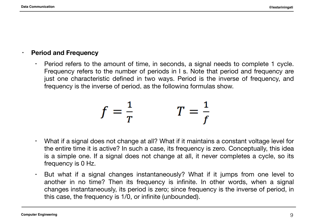#### **• Period and Frequency**

 $\cdot$  Period refers to the amount of time, in seconds, a signal needs to complete 1 cycle. Frequency refers to the number of periods in I s. Note that period and frequency are just one characteristic defined in two ways. Period is the inverse of frequency, and frequency is the inverse of period, as the following formulas show.

$$
f = \frac{1}{T} \qquad T = \frac{1}{f}
$$

- What if a signal does not change at all? What if it maintains a constant voltage level for the entire time it is active? In such a case, its frequency is zero. Conceptually, this idea is a simple one. If a signal does not change at all, it never completes a cycle, so its frequency is 0 Hz.
- But what if a signal changes instantaneously? What if it jumps from one level to another in no time? Then its frequency is infinite. In other words, when a signal changes instantaneously, its period is zero; since frequency is the inverse of period, in this case, the frequency is 1/0, or infinite (unbounded).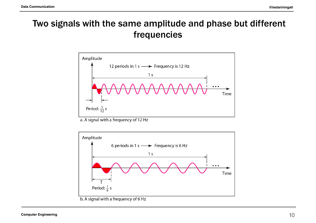# Two signals with the same amplitude and phase but different frequencies



a. A signal with a frequency of 12 Hz



b. A signal with a frequency of 6 Hz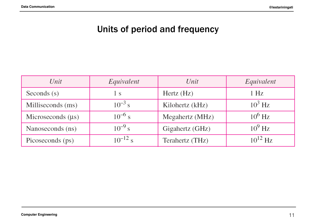# Units of period and frequency

| Unit                   | Equivalent   | Unit            | Equivalent   |
|------------------------|--------------|-----------------|--------------|
| Seconds $(s)$          | l s          | Hertz (Hz)      | $1$ Hz       |
| Milliseconds (ms)      | $10^{-3}$ s  | Kilohertz (kHz) | $10^3$ Hz    |
| Microseconds $(\mu s)$ | $10^{-6}$ s  | Megahertz (MHz) | $10^6$ Hz    |
| Nanoseconds (ns)       | $10^{-9}$ s  | Gigahertz (GHz) | $10^9$ Hz    |
| Picoseconds (ps)       | $10^{-12}$ s | Terahertz (THz) | $10^{12}$ Hz |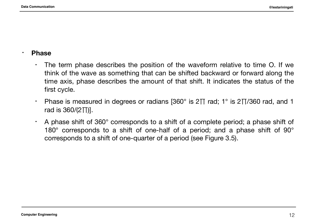#### • **Phase**

- $\cdot$  The term phase describes the position of the waveform relative to time O. If we think of the wave as something that can be shifted backward or forward along the time axis, phase describes the amount of that shift. It indicates the status of the first cycle.
- Phase is measured in degrees or radians [360° is 2 $\Pi$  rad; 1° is 2 $\Pi$ /360 rad, and 1 rad is 360/(2∏)].
- $\cdot$  A phase shift of 360 $^{\circ}$  corresponds to a shift of a complete period; a phase shift of 180° corresponds to a shift of one-half of a period; and a phase shift of 90° corresponds to a shift of one-quarter of a period (see Figure 3.5).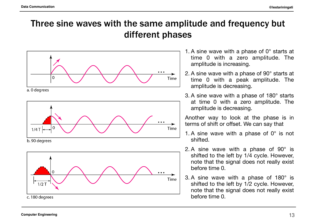# Three sine waves with the same amplitude and frequency but different phases



a. 0 degrees







- 1. A sine wave with a phase of 0° starts at time 0 with a zero amplitude. The amplitude is increasing.
- 2. A sine wave with a phase of 90° starts at time 0 with a peak amplitude. The amplitude is decreasing.
- 3. A sine wave with a phase of 180° starts at time 0 with a zero amplitude. The amplitude is decreasing.

Another way to look at the phase is in terms of shift or offset. We can say that

- 1. A sine wave with a phase of  $0^\circ$  is not shifted.
- 2. A sine wave with a phase of 90° is shifted to the left by 1/4 cycle. However, note that the signal does not really exist before time 0.
- 3. A sine wave with a phase of 180° is shifted to the left by 1/2 cycle. However, note that the signal does not really exist before time 0.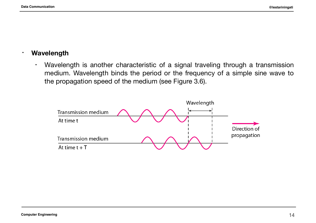#### **• Wavelength**

• Wavelength is another characteristic of a signal traveling through a transmission medium. Wavelength binds the period or the frequency of a simple sine wave to the propagation speed of the medium (see Figure 3.6).

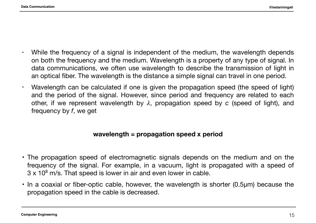- $\cdot$  While the frequency of a signal is independent of the medium, the wavelength depends on both the frequency and the medium. Wavelength is a property of any type of signal. In data communications, we often use wavelength to describe the transmission of light in an optical fiber. The wavelength is the distance a simple signal can travel in one period.
- Wavelength can be calculated if one is given the propagation speed (the speed of light) and the period of the signal. However, since period and frequency are related to each other, if we represent wavelength by  $\lambda$ , propagation speed by *c* (speed of light), and frequency by *f*, we get

#### **wavelength = propagation speed x period**

- The propagation speed of electromagnetic signals depends on the medium and on the frequency of the signal. For example, in a vacuum, light is propagated with a speed of  $3 \times 10^8$  m/s. That speed is lower in air and even lower in cable.
- In a coaxial or fiber-optic cable, however, the wavelength is shorter (0.5μm) because the propagation speed in the cable is decreased.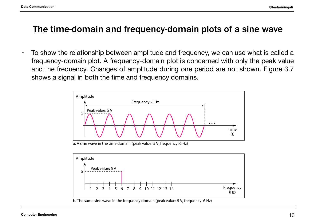### The time-domain and frequency-domain plots of a sine wave

 $\cdot$  To show the relationship between amplitude and frequency, we can use what is called a frequency-domain plot. A frequency-domain plot is concerned with only the peak value and the frequency. Changes of amplitude during one period are not shown. Figure 3.7 shows a signal in both the time and frequency domains.



a. A sine wave in the time domain (peak value: 5 V, frequency: 6 Hz)

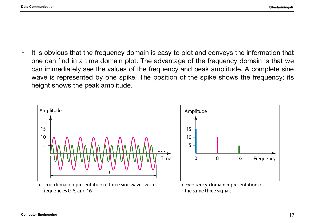$\cdot$  It is obvious that the frequency domain is easy to plot and conveys the information that one can find in a time domain plot. The advantage of the frequency domain is that we can immediately see the values of the frequency and peak amplitude. A complete sine wave is represented by one spike. The position of the spike shows the frequency; its height shows the peak amplitude.

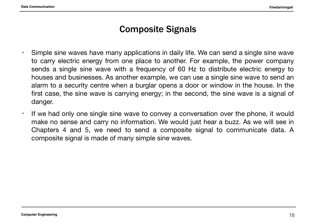## Composite Signals

- Simple sine waves have many applications in daily life. We can send a single sine wave to carry electric energy from one place to another. For example, the power company sends a single sine wave with a frequency of 60 Hz to distribute electric energy to houses and businesses. As another example, we can use a single sine wave to send an alarm to a security centre when a burglar opens a door or window in the house. In the first case, the sine wave is carrying energy; in the second, the sine wave is a signal of danger.
- If we had only one single sine wave to convey a conversation over the phone, it would make no sense and carry no information. We would just hear a buzz. As we will see in Chapters 4 and 5, we need to send a composite signal to communicate data. A composite signal is made of many simple sine waves.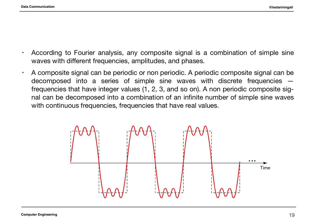- According to Fourier analysis, any composite signal is a combination of simple sine waves with different frequencies, amplitudes, and phases.
- $\cdot$  A composite signal can be periodic or non periodic. A periodic composite signal can be decomposed into a series of simple sine waves with discrete frequencies frequencies that have integer values (1, 2, 3, and so on). A non periodic composite signal can be decomposed into a combination of an infinite number of simple sine waves with continuous frequencies, frequencies that have real values.

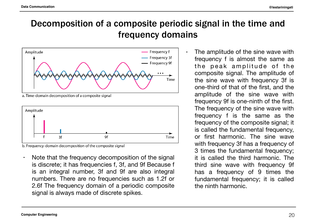# Decomposition of a composite periodic signal in the time and frequency domains



a. Time-domain decomposition of a composite signal



b. Frequency-domain decomposition of the composite signal

- $\cdot$  Note that the frequency decomposition of the signal is discrete; it has frequencies f, 3f, and 9f Because f is an integral number, 3f and 9f are also integral numbers. There are no frequencies such as 1.2f or 2.6f The frequency domain of a periodic composite signal is always made of discrete spikes.
- The amplitude of the sine wave with frequency f is almost the same as the peak amplitude of the composite signal. The amplitude of the sine wave with frequency 3f is one-third of that of the first, and the amplitude of the sine wave with frequency 9f is one-ninth of the first. The frequency of the sine wave with frequency f is the same as the frequency of the composite signal; it is called the fundamental frequency, or first harmonic. The sine wave with frequency 3f has a frequency of 3 times the fundamental frequency; it is called the third harmonic. The third sine wave with frequency 9f has a frequency of 9 times the fundamental frequency; it is called the ninth harmonic.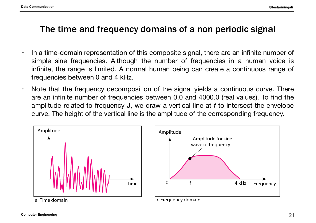# The time and frequency domains of a non periodic signal

- $\cdot$  In a time-domain representation of this composite signal, there are an infinite number of simple sine frequencies. Although the number of frequencies in a human voice is infinite, the range is limited. A normal human being can create a continuous range of frequencies between 0 and 4 kHz.
- $\cdot$  Note that the frequency decomposition of the signal yields a continuous curve. There are an infinite number of frequencies between 0.0 and 4000.0 (real values). To find the amplitude related to frequency J, we draw a vertical line at *f* to intersect the envelope curve. The height of the vertical line is the amplitude of the corresponding frequency.



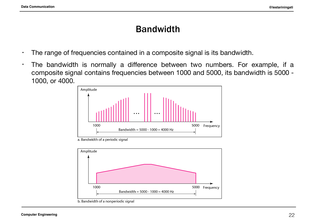## Bandwidth

- The range of frequencies contained in a composite signal is its bandwidth.
- The bandwidth is normally a difference between two numbers. For example, if a composite signal contains frequencies between 1000 and 5000, its bandwidth is 5000 - 1000, or 4000.



a. Bandwidth of a periodic signal

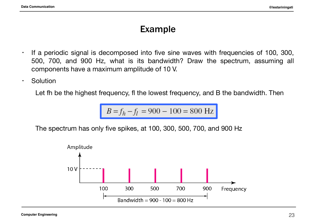- If a periodic signal is decomposed into five sine waves with frequencies of 100, 300, 500, 700, and 900 Hz, what is its bandwidth? Draw the spectrum, assuming all components have a maximum amplitude of 10 V.
- Solution

Let fh be the highest frequency, fl the lowest frequency, and B the bandwidth. Then

$$
B = f_h - f_l = 900 - 100 = 800 \text{ Hz}
$$

The spectrum has only five spikes, at 100, 300, 500, 700, and 900 Hz

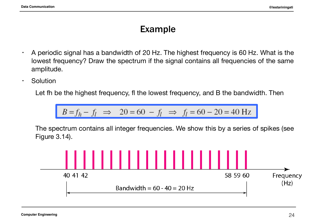- $\cdot$  A periodic signal has a bandwidth of 20 Hz. The highest frequency is 60 Hz. What is the lowest frequency? Draw the spectrum if the signal contains all frequencies of the same amplitude.
- Solution

Let fh be the highest frequency, fl the lowest frequency, and B the bandwidth. Then

$$
B = f_h - f_l \implies 20 = 60 - f_l \implies f_l = 60 - 20 = 40 \text{ Hz}
$$

The spectrum contains all integer frequencies. We show this by a series of spikes (see Figure 3.14).

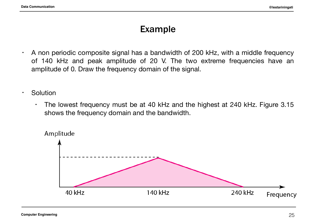- $\cdot$  A non periodic composite signal has a bandwidth of 200 kHz, with a middle frequency of 140 kHz and peak amplitude of 20 V. The two extreme frequencies have an amplitude of 0. Draw the frequency domain of the signal.
- Solution
	- The lowest frequency must be at 40 kHz and the highest at 240 kHz. Figure 3.15 shows the frequency domain and the bandwidth.